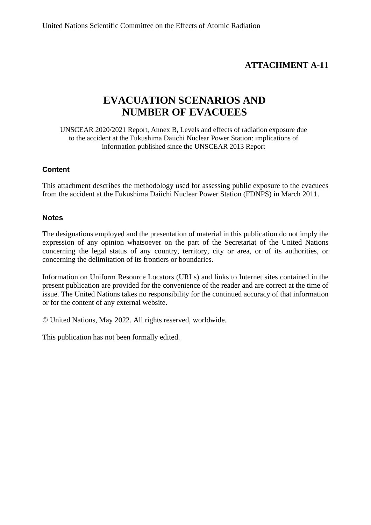## **ATTACHMENT A-11**

# **EVACUATION SCENARIOS AND NUMBER OF EVACUEES**

UNSCEAR 2020/2021 Report, Annex B, Levels and effects of radiation exposure due to the accident at the Fukushima Daiichi Nuclear Power Station: implications of information published since the UNSCEAR 2013 Report

#### **Content**

This attachment describes the methodology used for assessing public exposure to the evacuees from the accident at the Fukushima Daiichi Nuclear Power Station (FDNPS) in March 2011.

#### **Notes**

The designations employed and the presentation of material in this publication do not imply the expression of any opinion whatsoever on the part of the Secretariat of the United Nations concerning the legal status of any country, territory, city or area, or of its authorities, or concerning the delimitation of its frontiers or boundaries.

Information on Uniform Resource Locators (URLs) and links to Internet sites contained in the present publication are provided for the convenience of the reader and are correct at the time of issue. The United Nations takes no responsibility for the continued accuracy of that information or for the content of any external website.

© United Nations, May 2022. All rights reserved, worldwide.

This publication has not been formally edited.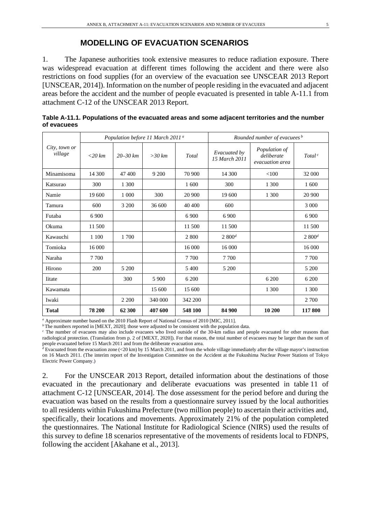#### **MODELLING OF EVACUATION SCENARIOS**

1. The Japanese authorities took extensive measures to reduce radiation exposure. There was widespread evacuation at different times following the accident and there were also restrictions on food supplies (for an overview of the evacuation see UNSCEAR 2013 Report [UNSCEAR, 2014]). Information on the number of people residing in the evacuated and adjacent areas before the accident and the number of people evacuated is presented in table A-11.1 from attachment C-12 of the UNSCEAR 2013 Report.

| City, town or<br>village | Population before 11 March 2011 <sup>a</sup> |              |          |         | Rounded number of evacuees <sup>b</sup> |                                                |                    |  |
|--------------------------|----------------------------------------------|--------------|----------|---------|-----------------------------------------|------------------------------------------------|--------------------|--|
|                          | $<20$ km                                     | $20 - 30 km$ | $>30$ km | Total   | Evacuated by<br>15 March 2011           | Population of<br>deliberate<br>evacuation area | Total <sup>c</sup> |  |
| Minamisoma               | 14 300                                       | 47 400       | 9 200    | 70 900  | 14 300                                  | < 100                                          | 32 000             |  |
| Katsurao                 | 300                                          | 1 300        |          | 1 600   | 300                                     | 1 300                                          | 1 600              |  |
| Namie                    | 19 600                                       | 1 0 0 0      | 300      | 20 900  | 19 600                                  | 1 300                                          | 20 900             |  |
| Tamura                   | 600                                          | 3 200        | 36 600   | 40 400  | 600                                     |                                                | 3 0 0 0            |  |
| Futaba                   | 6 900                                        |              |          | 6 9 0 0 | 6 900                                   |                                                | 6 900              |  |
| Okuma                    | 11 500                                       |              |          | 11.500  | 11 500                                  |                                                | 11 500             |  |
| Kawauchi                 | 1 100                                        | 1 700        |          | 2.800   | 2.800 <sup>d</sup>                      |                                                | $2800^d$           |  |
| Tomioka                  | 16 000                                       |              |          | 16 000  | 16 000                                  |                                                | 16 000             |  |
| Naraha                   | 7 700                                        |              |          | 7 700   | 7 700                                   |                                                | 7 700              |  |
| Hirono                   | 200                                          | 5 200        |          | 5 400   | 5 200                                   |                                                | 5 200              |  |
| <b>I</b> itate           |                                              | 300          | 5 900    | 6 200   |                                         | 6 200                                          | 6 200              |  |
| Kawamata                 |                                              |              | 15 600   | 15 600  |                                         | 1 300                                          | 1 300              |  |
| Iwaki                    |                                              | 2 2 0 0      | 340 000  | 342 200 |                                         |                                                | 2 700              |  |
| <b>Total</b>             | 78 200                                       | 62 300       | 407 600  | 548 100 | 84 900                                  | 10 200                                         | 117 800            |  |

| Table A-11.1. Populations of the evacuated areas and some adjacent territories and the number |  |
|-----------------------------------------------------------------------------------------------|--|
| of evacuees                                                                                   |  |

*<sup>a</sup>* Approximate number based on the 2010 Flash Report of National Census of 2010 [MIC, 2011].

<sup>*b*</sup>The numbers reported in [MEXT, 2020]; those were adjusted to be consistent with the population data.

<sup>c</sup> The number of evacuees may also include evacuees who lived outside of the 30-km radius and people evacuated for other reasons than radiological protection. (Translation from p. 2 of [MEXT, 2020]). For that reason, the total number of evacuees may be larger than the sum of people evacuated before 15 March 2011 and from the deliberate evacuation area.

*<sup>d</sup>* Evacuated from the evacuation zone (<20 km) by 15 March 2011, and from the whole village immediately after the village mayor's instruction on 16 March 2011. (The interim report of the Investigation Committee on the Accident at the Fukushima Nuclear Power Stations of Tokyo Electric Power Company.)

2. For the UNSCEAR 2013 Report, detailed information about the destinations of those evacuated in the precautionary and deliberate evacuations was presented in table 11 of attachment C-12 [UNSCEAR, 2014]. The dose assessment for the period before and during the evacuation was based on the results from a questionnaire survey issued by the local authorities to all residents within Fukushima Prefecture (two million people) to ascertain their activities and, specifically, their locations and movements. Approximately 21% of the population completed the questionnaires. The National Institute for Radiological Science (NIRS) used the results of this survey to define 18 scenarios representative of the movements of residents local to FDNPS, following the accident [Akahane et al., 2013].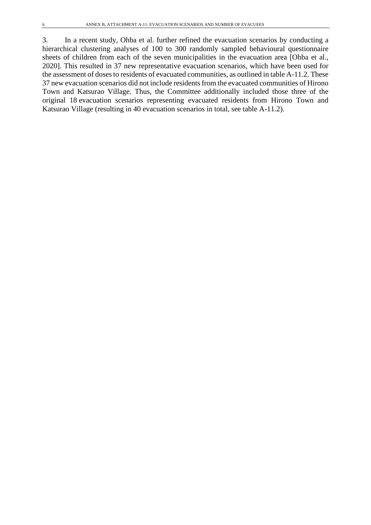3. In a recent study, Ohba et al. further refined the evacuation scenarios by conducting a hierarchical clustering analyses of 100 to 300 randomly sampled behavioural questionnaire sheets of children from each of the seven municipalities in the evacuation area [Ohba et al., 2020]. This resulted in 37 new representative evacuation scenarios, which have been used for the assessment of doses to residents of evacuated communities, as outlined in table A-11.2. These 37 new evacuation scenarios did not include residents from the evacuated communities of Hirono Town and Katsurao Village. Thus, the Committee additionally included those three of the original 18 evacuation scenarios representing evacuated residents from Hirono Town and Katsurao Village (resulting in 40 evacuation scenarios in total, see table A-11.2).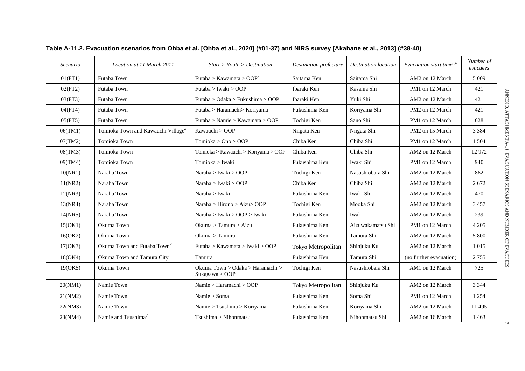| Scenario | Location at 11 March 2011                      | Start > Route > Destination                        | Destination prefecture | <b>Destination</b> location | Evacuation start time <sup>a,b</sup> |          |
|----------|------------------------------------------------|----------------------------------------------------|------------------------|-----------------------------|--------------------------------------|----------|
| 01(FT1)  | Futaba Town                                    | Futaba > Kawamata > OOP <sup>c</sup>               | Saitama Ken            | Saitama Shi                 | AM2 on 12 March                      | 5 0 0 9  |
| 02(FT2)  | Futaba Town                                    | Futaba > Iwaki > OOP                               | Ibaraki Ken            | Kasama Shi                  | PM1 on 12 March                      | 421      |
| 03(FT3)  | Futaba Town                                    | Futaba > Odaka > Fukushima > OOP                   | Ibaraki Ken            | Yuki Shi                    | AM2 on 12 March                      | 421      |
| 04(FT4)  | Futaba Town                                    | Futaba > Haramachi > Koriyama                      | Fukushima Ken          | Koriyama Shi                | PM2 on 12 March                      | 421      |
| 05(FT5)  | Futaba Town                                    | Futaba > Namie > Kawamata > OOP                    | Tochigi Ken            | Sano Shi                    | PM1 on 12 March                      | 628      |
| 06(TM1)  | Tomioka Town and Kawauchi Village <sup>d</sup> | Kawauchi > OOP                                     | Niigata Ken            | Niigata Shi                 | PM <sub>2</sub> on 15 March          | 3 3 8 4  |
| 07(TM2)  | Tomioka Town                                   | Tomioka > Ono > OOP                                | Chiba Ken              | Chiba Shi                   | PM1 on 12 March                      | 1 504    |
| 08(TM3)  | Tomioka Town                                   | Tomioka > Kawauchi > Koriyama > OOP                | Chiba Ken              | Chiba Shi                   | AM2 on 12 March                      | 12972    |
| 09(TM4)  | Tomioka Town                                   | Tomioka > Iwaki                                    | Fukushima Ken          | Iwaki Shi                   | PM1 on 12 March                      | 940      |
| 10(NR1)  | Naraha Town                                    | Naraha > Iwaki > OOP                               | Tochigi Ken            | Nasushiobara Shi            | AM2 on 12 March                      | 862      |
| 11(NR2)  | Naraha Town                                    | Naraha > Iwaki > OOP                               | Chiba Ken              | Chiba Shi                   | AM2 on 12 March                      | 2672     |
| 12(NR3)  | Naraha Town                                    | Naraha > Iwaki                                     | Fukushima Ken          | Iwaki Shi                   | AM2 on 12 March                      | 470      |
| 13(NR4)  | Naraha Town                                    | Naraha > Hirono > Aizu> OOP                        | Tochigi Ken            | Mooka Shi                   | AM2 on 12 March                      | 3 4 5 7  |
| 14(NR5)  | Naraha Town                                    | Naraha > Iwaki > OOP > Iwaki                       | Fukushima Ken          | Iwaki                       | AM2 on 12 March                      | 239      |
| 15(OK1)  | Okuma Town                                     | Okuma > Tamura > Aizu                              | Fukushima Ken          | Aizuwakamatsu Shi           | PM1 on 12 March                      | 4 2 0 5  |
| 16(OK2)  | Okuma Town                                     | Okuma > Tamura                                     | Fukushima Ken          | Tamura Shi                  | AM2 on 12 March                      | 5 800    |
| 17(OK3)  | Okuma Town and Futaba Town <sup>d</sup>        | Futaba > Kawamata > Iwaki > OOP                    | Tokyo Metropolitan     | Shinjuku Ku                 | AM2 on 12 March                      | 1 0 1 5  |
| 18(OK4)  | Okuma Town and Tamura City <sup>d</sup>        | Tamura                                             | Fukushima Ken          | Tamura Shi                  | (no further evacuation)              | 2 7 5 5  |
| 19(OK5)  | Okuma Town                                     | Okuma Town > Odaka > Haramachi ><br>Sukagawa > OOP | Tochigi Ken            | Nasushiobara Shi            | AM1 on 12 March                      | 725      |
| 20(NM1)  | Namie Town                                     | Namie > Haramachi > OOP                            | Tokyo Metropolitan     | Shinjuku Ku                 | AM2 on 12 March                      | 3 3 4 4  |
| 21(NM2)  | Namie Town                                     | Namie > Soma                                       | Fukushima Ken          | Soma Shi                    | PM1 on 12 March                      | 1 2 5 4  |
| 22(NM3)  | Namie Town                                     | Namie > Tsushima > Koriyama                        | Fukushima Ken          | Koriyama Shi                | AM2 on 12 March                      | 11 4 9 5 |
| 23(NM4)  | Namie and Tsushima <sup>d</sup>                | $T$ sushima > Nihonmatsu                           | Fukushima Ken          | Nihonmatsu Shi              | AM2 on 16 March                      | 1 4 6 3  |

### **Table A-11.2. Evacuation scenarios from Ohba et al. [Ohba et al., 2020] (#01-37) and NIRS survey [Akahane et al., 2013] (#38-40)**

 $\overline{a}$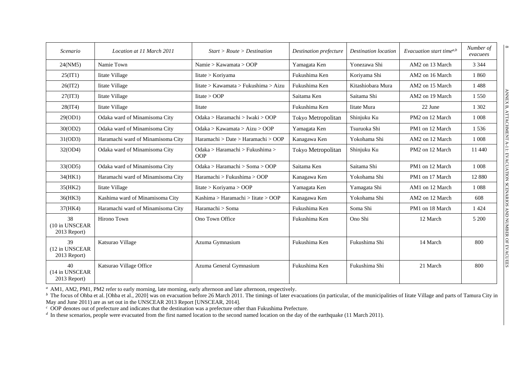| Scenario                             | Location at 11 March 2011         | Start > Route > Destination            | Destination prefecture | <b>Destination</b> location | Evacuation start time <sup><i>a</i>,b</sup> | Number of<br>evacuees |
|--------------------------------------|-----------------------------------|----------------------------------------|------------------------|-----------------------------|---------------------------------------------|-----------------------|
| 24(NM5)                              | Namie Town                        | Namie > Kawamata > OOP                 | Yamagata Ken           | Yonezawa Shi                | AM2 on 13 March                             | 3 3 4 4               |
| 25(IT1)                              | Iitate Village                    | Iitate > Koriyama                      | Fukushima Ken          | Koriyama Shi                | AM2 on 16 March                             | 1860                  |
| 26(1T2)                              | <b>Iitate Village</b>             | Iitate > Kawamata > Fukushima > Aizu   | Fukushima Ken          | Kitashiobara Mura           | AM2 on 15 March                             | 1488                  |
| 27(1T3)                              | Iitate Village                    | litate > OOP                           | Saitama Ken            | Saitama Shi                 | AM2 on 19 March                             | 1 5 5 0               |
| 28(1T4)                              | Iitate Village                    | <b>I</b> itate                         | Fukushima Ken          | <b>Iitate Mura</b>          | 22 June                                     | 1 3 0 2               |
| 29(OD1)                              | Odaka ward of Minamisoma City     | Odaka > Haramachi > Iwaki > OOP        | Tokyo Metropolitan     | Shinjuku Ku                 | PM2 on 12 March                             | 1 0 0 8               |
| 30(OD2)                              | Odaka ward of Minamisoma City     | Odaka > Kawamata > Aizu > OOP          | Yamagata Ken           | Tsuruoka Shi                | PM1 on 12 March                             | 1536                  |
| 31(OD3)                              | Haramachi ward of Minamisoma City | Haramachi > Date > Haramachi > OOP     | Kanagawa Ken           | Yokohama Shi                | AM2 on 12 March                             | 1 0 0 8               |
| 32(OD4)                              | Odaka ward of Minamisoma City     | Odaka > Haramachi > Fukushima ><br>OOP | Tokyo Metropolitan     | Shinjuku Ku                 | PM2 on 12 March                             | 11 440                |
| 33(OD5)                              | Odaka ward of Minamisoma City     | Odaka > Haramachi > Soma > OOP         | Saitama Ken            | Saitama Shi                 | PM1 on 12 March                             | 1 0 0 8               |
| 34(HK1)                              | Haramachi ward of Minamisoma City | Haramachi > Fukushima > OOP            | Kanagawa Ken           | Yokohama Shi                | PM1 on 17 March                             | 12 880                |
| 35(HK2)                              | Iitate Village                    | Iitate > Koriyama > OOP                | Yamagata Ken           | Yamagata Shi                | AM1 on 12 March                             | 1 0 8 8               |
| 36(HK3)                              | Kashima ward of Minamisoma City   | Kashima > Haramachi > Iitate > OOP     | Kanagawa Ken           | Yokohama Shi                | AM2 on 12 March                             | 608                   |
| 37(HK4)                              | Haramachi ward of Minamisoma City | Haramachi > Soma                       | Fukushima Ken          | Soma Shi                    | PM1 on 18 March                             | 1 4 2 4               |
| 38<br>(10 in UNSCEAR<br>2013 Report) | Hirono Town                       | Ono Town Office                        | Fukushima Ken          | Ono Shi                     | 12 March                                    | 5 200                 |
| 39<br>(12 in UNSCEAR<br>2013 Report) | Katsurao Village                  | Azuma Gymnasium                        | Fukushima Ken          | Fukushima Shi               | 14 March                                    | 800                   |
| 40<br>(14 in UNSCEAR<br>2013 Report) | Katsurao Village Office           | Azuma General Gymnasium                | Fukushima Ken          | Fukushima Shi               | 21 March                                    | 800                   |

*<sup>a</sup>* AM1, AM2, PM1, PM2 refer to early morning, late morning, early afternoon and late afternoon, respectively.

<sup>*b*</sup> The focus of Ohba et al. [Ohba et al., 2020] was on evacuation before 26 March 2011. The timings of later evacuations (in particular, of the municipalities of Iitate Village and parts of Tamura City in May and June 2011) are as set out in the UNSCEAR 2013 Report [UNSCEAR, 2014].

*<sup>c</sup>* OOP denotes out of prefecture and indicates that the destination was a prefecture other than Fukushima Prefecture.

*d* In these scenarios, people were evacuated from the first named location to the second named location on the day of the earthquake (11 March 2011).

 $^\infty$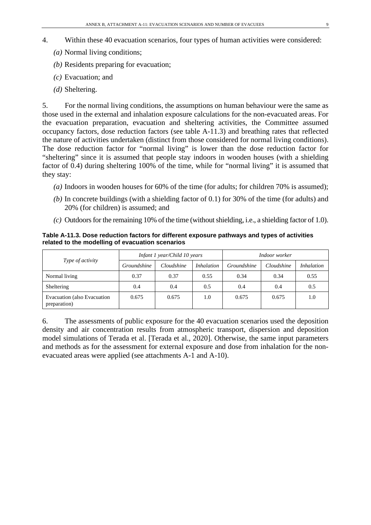- 4. Within these 40 evacuation scenarios, four types of human activities were considered:
	- *(a)* Normal living conditions;
	- *(b)* Residents preparing for evacuation;
	- *(c)* Evacuation; and
	- *(d)* Sheltering.

5. For the normal living conditions, the assumptions on human behaviour were the same as those used in the external and inhalation exposure calculations for the non-evacuated areas. For the evacuation preparation, evacuation and sheltering activities, the Committee assumed occupancy factors, dose reduction factors (see table A-11.3) and breathing rates that reflected the nature of activities undertaken (distinct from those considered for normal living conditions). The dose reduction factor for "normal living" is lower than the dose reduction factor for "sheltering" since it is assumed that people stay indoors in wooden houses (with a shielding factor of 0.4) during sheltering 100% of the time, while for "normal living" it is assumed that they stay:

- *(a)* Indoors in wooden houses for 60% of the time (for adults; for children 70% is assumed);
- *(b)* In concrete buildings (with a shielding factor of 0.1) for 30% of the time (for adults) and 20% (for children) is assumed; and
- $(c)$  Outdoors for the remaining 10% of the time (without shielding, i.e., a shielding factor of 1.0).

**Table A-11.3. Dose reduction factors for different exposure pathways and types of activities related to the modelling of evacuation scenarios**

|                                             |             | Infant 1 year/Child 10 years |                   | Indoor worker      |            |                   |
|---------------------------------------------|-------------|------------------------------|-------------------|--------------------|------------|-------------------|
| <i>Type of activity</i>                     | Groundshine | Cloudshine                   | <i>Inhalation</i> | <i>Groundshine</i> | Cloudshine | <i>Inhalation</i> |
| Normal living                               | 0.37        | 0.37                         | 0.55              | 0.34               | 0.34       | 0.55              |
| Sheltering                                  | 0.4         | 0.4                          | 0.5               | 0.4                | 0.4        | 0.5               |
| Evacuation (also Evacuation<br>preparation) | 0.675       | 0.675                        | 1.0               | 0.675              | 0.675      | 1.0               |

6. The assessments of public exposure for the 40 evacuation scenarios used the deposition density and air concentration results from atmospheric transport, dispersion and deposition model simulations of Terada et al. [Terada et al., 2020]. Otherwise, the same input parameters and methods as for the assessment for external exposure and dose from inhalation for the nonevacuated areas were applied (see attachments A-1 and A-10).